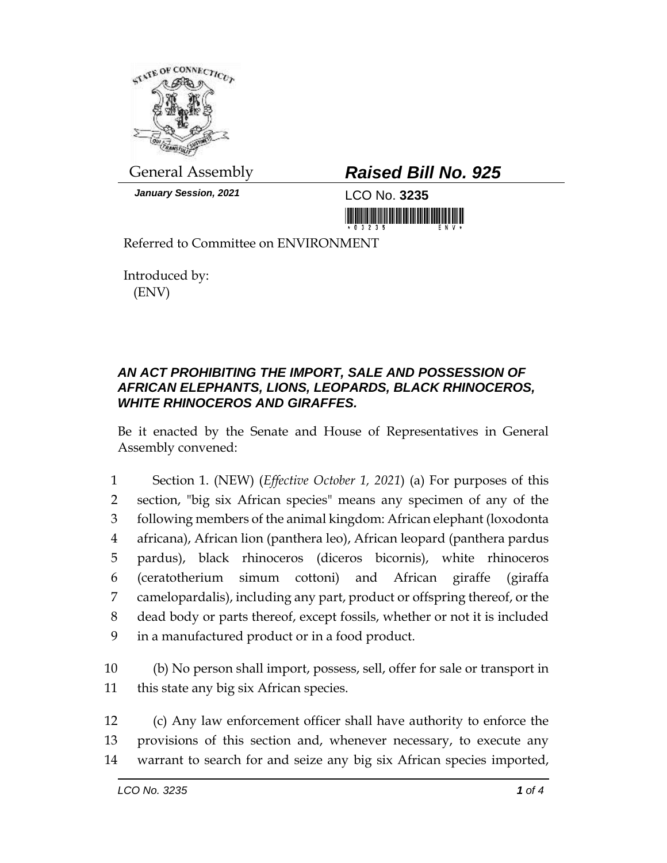

*January Session, 2021* LCO No. **3235**

## General Assembly *Raised Bill No. 925*

Referred to Committee on ENVIRONMENT

Introduced by: (ENV)

## *AN ACT PROHIBITING THE IMPORT, SALE AND POSSESSION OF AFRICAN ELEPHANTS, LIONS, LEOPARDS, BLACK RHINOCEROS, WHITE RHINOCEROS AND GIRAFFES.*

Be it enacted by the Senate and House of Representatives in General Assembly convened:

 Section 1. (NEW) (*Effective October 1, 2021*) (a) For purposes of this section, "big six African species" means any specimen of any of the following members of the animal kingdom: African elephant (loxodonta africana), African lion (panthera leo), African leopard (panthera pardus pardus), black rhinoceros (diceros bicornis), white rhinoceros (ceratotherium simum cottoni) and African giraffe (giraffa camelopardalis), including any part, product or offspring thereof, or the dead body or parts thereof, except fossils, whether or not it is included in a manufactured product or in a food product.

10 (b) No person shall import, possess, sell, offer for sale or transport in 11 this state any big six African species.

12 (c) Any law enforcement officer shall have authority to enforce the 13 provisions of this section and, whenever necessary, to execute any 14 warrant to search for and seize any big six African species imported,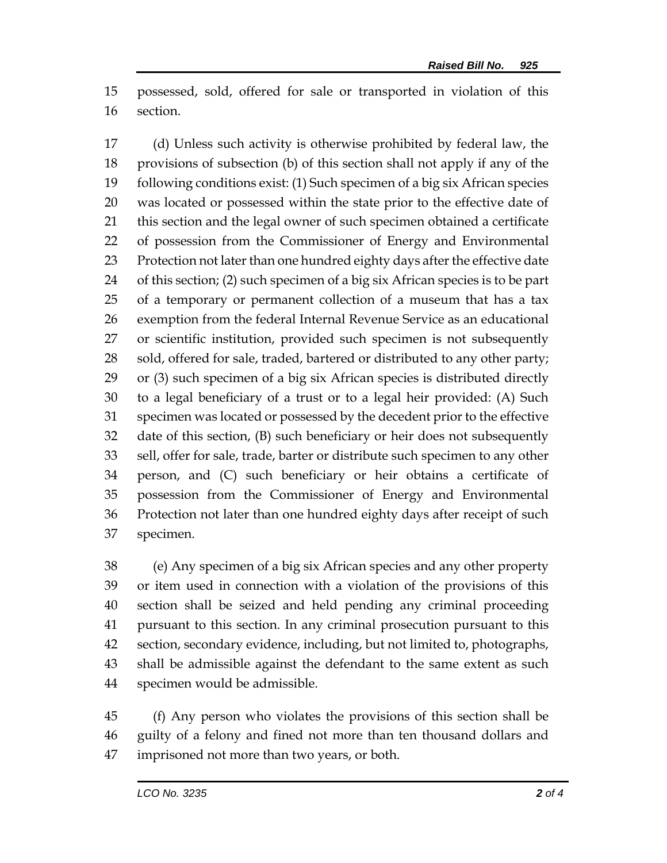possessed, sold, offered for sale or transported in violation of this section.

 (d) Unless such activity is otherwise prohibited by federal law, the provisions of subsection (b) of this section shall not apply if any of the following conditions exist: (1) Such specimen of a big six African species was located or possessed within the state prior to the effective date of this section and the legal owner of such specimen obtained a certificate of possession from the Commissioner of Energy and Environmental Protection not later than one hundred eighty days after the effective date of this section; (2) such specimen of a big six African species is to be part of a temporary or permanent collection of a museum that has a tax exemption from the federal Internal Revenue Service as an educational or scientific institution, provided such specimen is not subsequently 28 sold, offered for sale, traded, bartered or distributed to any other party; or (3) such specimen of a big six African species is distributed directly to a legal beneficiary of a trust or to a legal heir provided: (A) Such specimen was located or possessed by the decedent prior to the effective date of this section, (B) such beneficiary or heir does not subsequently sell, offer for sale, trade, barter or distribute such specimen to any other person, and (C) such beneficiary or heir obtains a certificate of possession from the Commissioner of Energy and Environmental Protection not later than one hundred eighty days after receipt of such specimen.

 (e) Any specimen of a big six African species and any other property or item used in connection with a violation of the provisions of this section shall be seized and held pending any criminal proceeding pursuant to this section. In any criminal prosecution pursuant to this section, secondary evidence, including, but not limited to, photographs, shall be admissible against the defendant to the same extent as such specimen would be admissible.

 (f) Any person who violates the provisions of this section shall be guilty of a felony and fined not more than ten thousand dollars and imprisoned not more than two years, or both.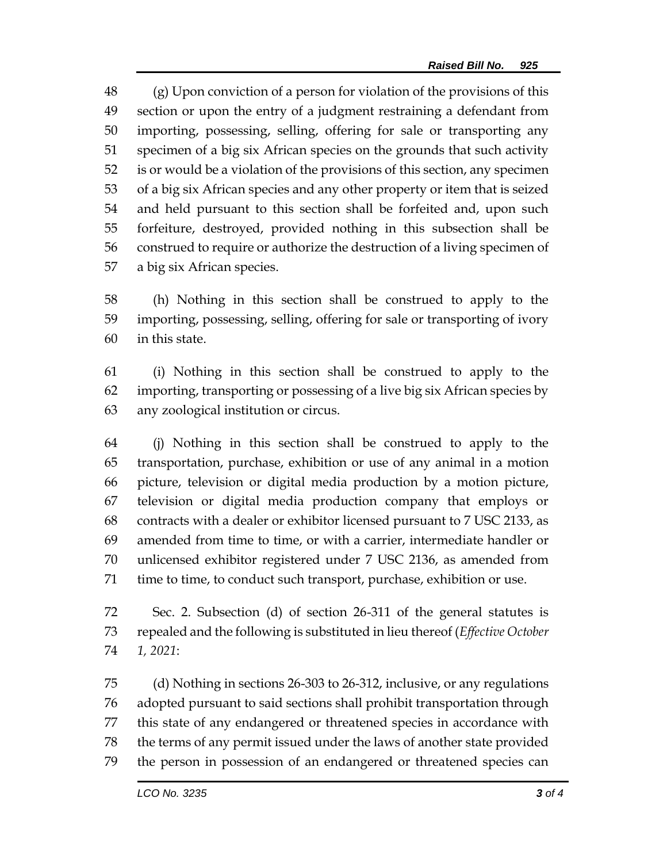(g) Upon conviction of a person for violation of the provisions of this section or upon the entry of a judgment restraining a defendant from importing, possessing, selling, offering for sale or transporting any specimen of a big six African species on the grounds that such activity is or would be a violation of the provisions of this section, any specimen of a big six African species and any other property or item that is seized and held pursuant to this section shall be forfeited and, upon such forfeiture, destroyed, provided nothing in this subsection shall be construed to require or authorize the destruction of a living specimen of a big six African species.

 (h) Nothing in this section shall be construed to apply to the importing, possessing, selling, offering for sale or transporting of ivory in this state.

 (i) Nothing in this section shall be construed to apply to the importing, transporting or possessing of a live big six African species by any zoological institution or circus.

 (j) Nothing in this section shall be construed to apply to the transportation, purchase, exhibition or use of any animal in a motion picture, television or digital media production by a motion picture, television or digital media production company that employs or contracts with a dealer or exhibitor licensed pursuant to 7 USC 2133, as amended from time to time, or with a carrier, intermediate handler or unlicensed exhibitor registered under 7 USC 2136, as amended from time to time, to conduct such transport, purchase, exhibition or use.

 Sec. 2. Subsection (d) of section 26-311 of the general statutes is repealed and the following is substituted in lieu thereof (*Effective October 1, 2021*:

 (d) Nothing in sections 26-303 to 26-312, inclusive, or any regulations adopted pursuant to said sections shall prohibit transportation through this state of any endangered or threatened species in accordance with the terms of any permit issued under the laws of another state provided the person in possession of an endangered or threatened species can